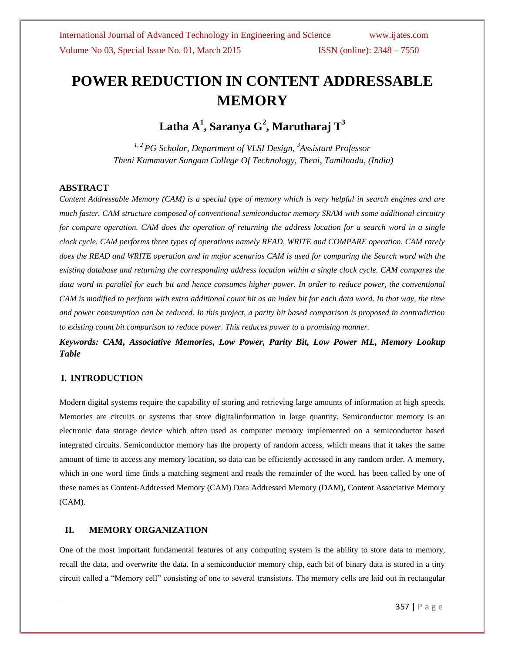# **POWER REDUCTION IN CONTENT ADDRESSABLE MEMORY**

**Latha A<sup>1</sup> , Saranya G<sup>2</sup> , Marutharaj T<sup>3</sup>**

*1, 2 PG Scholar, Department of VLSI Design, <sup>3</sup>Assistant Professor Theni Kammavar Sangam College Of Technology, Theni, Tamilnadu, (India)*

#### **ABSTRACT**

*Content Addressable Memory (CAM) is a special type of memory which is very helpful in search engines and are much faster. CAM structure composed of conventional semiconductor memory SRAM with some additional circuitry for compare operation. CAM does the operation of returning the address location for a search word in a single clock cycle. CAM performs three types of operations namely READ, WRITE and COMPARE operation. CAM rarely does the READ and WRITE operation and in major scenarios CAM is used for comparing the Search word with the existing database and returning the corresponding address location within a single clock cycle. CAM compares the*  data word in parallel for each bit and hence consumes higher power. In order to reduce power, the conventional *CAM is modified to perform with extra additional count bit as an index bit for each data word. In that way, the time and power consumption can be reduced. In this project, a parity bit based comparison is proposed in contradiction to existing count bit comparison to reduce power. This reduces power to a promising manner.* 

*Keywords: CAM, Associative Memories, Low Power, Parity Bit, Low Power ML, Memory Lookup Table*

### **I. INTRODUCTION**

Modern digital systems require the capability of storing and retrieving large amounts of information at high speeds. Memories are circuits or systems that store digitalinformation in large quantity. Semiconductor memory is an electronic data storage device which often used as computer memory implemented on a semiconductor based integrated circuits. Semiconductor memory has the property of random access, which means that it takes the same amount of time to access any memory location, so data can be efficiently accessed in any random order. A memory, which in one word time finds a matching segment and reads the remainder of the word, has been called by one of these names as Content-Addressed Memory (CAM) Data Addressed Memory (DAM), Content Associative Memory (CAM).

### **II. MEMORY ORGANIZATION**

One of the most important fundamental features of any computing system is the ability to store data to memory, recall the data, and overwrite the data. In a semiconductor memory chip, each bit of binary data is stored in a tiny circuit called a "Memory cell" consisting of one to several transistors. The memory cells are laid out in rectangular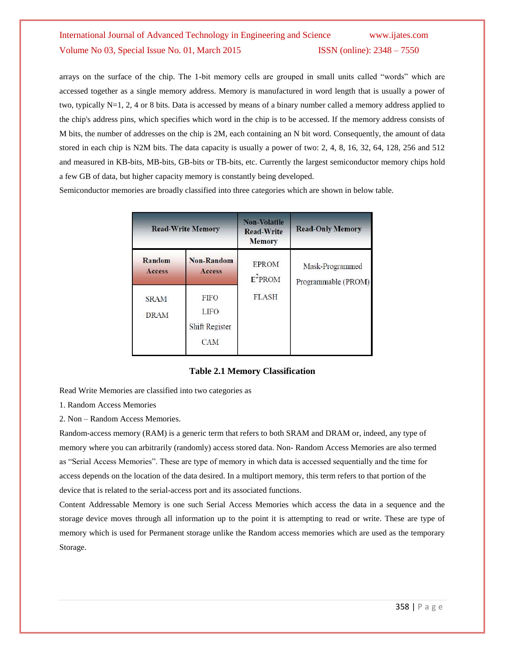arrays on the surface of the chip. The 1-bit memory cells are grouped in small units called "words" which are accessed together as a single memory address. Memory is manufactured in word length that is usually a power of two, typically N=1, 2, 4 or 8 bits. Data is accessed by means of a binary number called a memory address applied to the chip's address pins, which specifies which word in the chip is to be accessed. If the memory address consists of M bits, the number of addresses on the chip is 2M, each containing an N bit word. Consequently, the amount of data stored in each chip is N2M bits. The data capacity is usually a power of two: 2, 4, 8, 16, 32, 64, 128, 256 and 512 and measured in KB-bits, MB-bits, GB-bits or TB-bits, etc. Currently the largest semiconductor memory chips hold a few GB of data, but higher capacity memory is constantly being developed.

Semiconductor memories are broadly classified into three categories which are shown in below table.

|                            | <b>Read-Write Memory</b>                            |                            | <b>Read-Only Memory</b>                |  |
|----------------------------|-----------------------------------------------------|----------------------------|----------------------------------------|--|
| Random<br>Access           | <b>Non-Random</b><br>Access                         | <b>EPROM</b><br>$E^2$ PROM | Mask-Programmed<br>Programmable (PROM) |  |
| <b>SRAM</b><br><b>DRAM</b> | <b>FIFO</b><br>LIFO<br>Shift Register<br><b>CAM</b> | <b>FLASH</b>               |                                        |  |

#### **Table 2.1 Memory Classification**

Read Write Memories are classified into two categories as

- 1. Random Access Memories
- 2. Non Random Access Memories.

Random-access memory (RAM) is a generic term that refers to both SRAM and DRAM or, indeed, any type of memory where you can arbitrarily (randomly) access stored data. Non- Random Access Memories are also termed as "Serial Access Memories". These are type of memory in which data is accessed sequentially and the time for access depends on the location of the data desired. In a multiport memory, this term refers to that portion of the device that is related to the serial-access port and its associated functions.

Content Addressable Memory is one such Serial Access Memories which access the data in a sequence and the storage device moves through all information up to the point it is attempting to read or write. These are type of memory which is used for Permanent storage unlike the Random access memories which are used as the temporary Storage.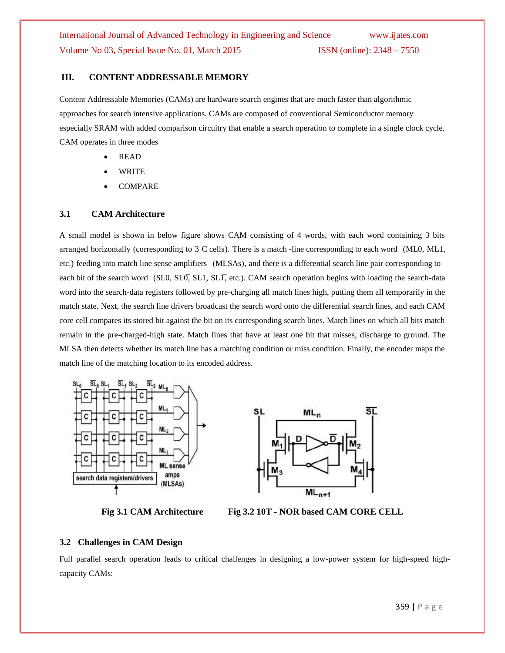### **III. CONTENT ADDRESSABLE MEMORY**

Content Addressable Memories (CAMs) are hardware search engines that are much faster than algorithmic approaches for search intensive applications. CAMs are composed of conventional Semiconductor memory especially SRAM with added comparison circuitry that enable a search operation to complete in a single clock cycle. CAM operates in three modes

- READ
- WRITE
- COMPARE

### **3.1 CAM Architecture**

A small model is shown in below figure shows CAM consisting of 4 words, with each word containing 3 bits arranged horizontally (corresponding to 3 C cells). There is a match -line corresponding to each word (ML0, ML1, etc.) feeding into match line sense amplifiers (MLSAs), and there is a differential search line pair corresponding to each bit of the search word (SL0, SL0̄, SL1, SL1̄, etc.). CAM search operation begins with loading the search-data word into the search-data registers followed by pre-charging all match lines high, putting them all temporarily in the match state. Next, the search line drivers broadcast the search word onto the differential search lines, and each CAM core cell compares its stored bit against the bit on its corresponding search lines. Match lines on which all bits match remain in the pre-charged-high state. Match lines that have at least one bit that misses, discharge to ground. The MLSA then detects whether its match line has a matching condition or miss condition. Finally, the encoder maps the match line of the matching location to its encoded address.







**Fig 3.1 CAM Architecture Fig 3.2 10T - NOR based CAM CORE CELL**

### **3.2 Challenges in CAM Design**

Full parallel search operation leads to critical challenges in designing a low-power system for high-speed highcapacity CAMs: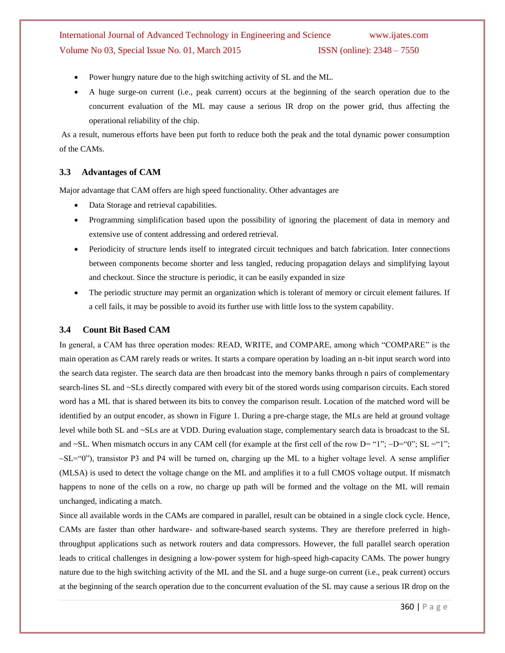- Power hungry nature due to the high switching activity of SL and the ML.
- A huge surge-on current (i.e., peak current) occurs at the beginning of the search operation due to the concurrent evaluation of the ML may cause a serious IR drop on the power grid, thus affecting the operational reliability of the chip.

As a result, numerous efforts have been put forth to reduce both the peak and the total dynamic power consumption of the CAMs.

### **3.3 Advantages of CAM**

Major advantage that CAM offers are high speed functionality. Other advantages are

- Data Storage and retrieval capabilities.
- Programming simplification based upon the possibility of ignoring the placement of data in memory and extensive use of content addressing and ordered retrieval.
- Periodicity of structure lends itself to integrated circuit techniques and batch fabrication. Inter connections between components become shorter and less tangled, reducing propagation delays and simplifying layout and checkout. Since the structure is periodic, it can be easily expanded in size
- The periodic structure may permit an organization which is tolerant of memory or circuit element failures. If a cell fails, it may be possible to avoid its further use with little loss to the system capability.

### **3.4 Count Bit Based CAM**

In general, a CAM has three operation modes: READ, WRITE, and COMPARE, among which "COMPARE" is the main operation as CAM rarely reads or writes. It starts a compare operation by loading an n-bit input search word into the search data register. The search data are then broadcast into the memory banks through n pairs of complementary search-lines SL and ~SLs directly compared with every bit of the stored words using comparison circuits. Each stored word has a ML that is shared between its bits to convey the comparison result. Location of the matched word will be identified by an output encoder, as shown in Figure 1. During a pre-charge stage, the MLs are held at ground voltage level while both SL and ~SLs are at VDD. During evaluation stage, complementary search data is broadcast to the SL and ~SL. When mismatch occurs in any CAM cell (for example at the first cell of the row D= "1"; ~D="0"; SL ="1";  $\sim$ SL="0"), transistor P3 and P4 will be turned on, charging up the ML to a higher voltage level. A sense amplifier (MLSA) is used to detect the voltage change on the ML and amplifies it to a full CMOS voltage output. If mismatch happens to none of the cells on a row, no charge up path will be formed and the voltage on the ML will remain unchanged, indicating a match.

Since all available words in the CAMs are compared in parallel, result can be obtained in a single clock cycle. Hence, CAMs are faster than other hardware- and software-based search systems. They are therefore preferred in highthroughput applications such as network routers and data compressors. However, the full parallel search operation leads to critical challenges in designing a low-power system for high-speed high-capacity CAMs. The power hungry nature due to the high switching activity of the ML and the SL and a huge surge-on current (i.e., peak current) occurs at the beginning of the search operation due to the concurrent evaluation of the SL may cause a serious IR drop on the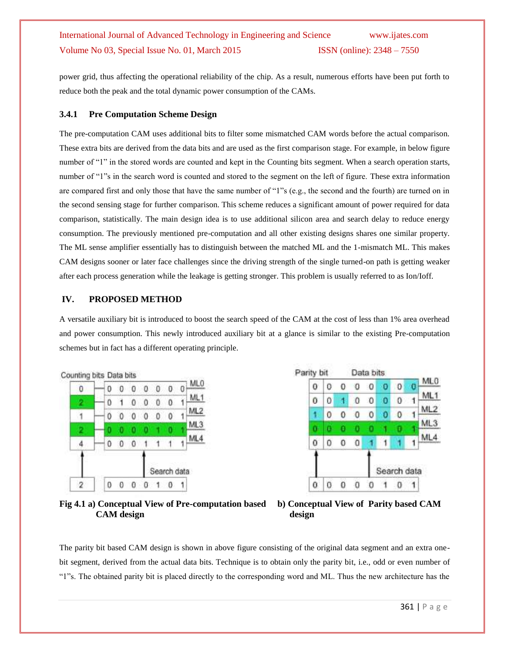power grid, thus affecting the operational reliability of the chip. As a result, numerous efforts have been put forth to reduce both the peak and the total dynamic power consumption of the CAMs.

### **3.4.1 Pre Computation Scheme Design**

The pre-computation CAM uses additional bits to filter some mismatched CAM words before the actual comparison. These extra bits are derived from the data bits and are used as the first comparison stage. For example, in below figure number of "1" in the stored words are counted and kept in the Counting bits segment. When a search operation starts, number of "1"s in the search word is counted and stored to the segment on the left of figure. These extra information are compared first and only those that have the same number of "1"s (e.g., the second and the fourth) are turned on in the second sensing stage for further comparison. This scheme reduces a significant amount of power required for data comparison, statistically. The main design idea is to use additional silicon area and search delay to reduce energy consumption. The previously mentioned pre-computation and all other existing designs shares one similar property. The ML sense amplifier essentially has to distinguish between the matched ML and the 1-mismatch ML. This makes CAM designs sooner or later face challenges since the driving strength of the single turned-on path is getting weaker after each process generation while the leakage is getting stronger. This problem is usually referred to as Ion/Ioff.

### **IV. PROPOSED METHOD**

A versatile auxiliary bit is introduced to boost the search speed of the CAM at the cost of less than 1% area overhead and power consumption. This newly introduced auxiliary bit at a glance is similar to the existing Pre-computation schemes but in fact has a different operating principle.



Parity bit Data bits ML<sub>0</sub> 0  $\Omega$  $\sigma$  $\overline{0}$ ō  $^{\circ}$  $\Omega$  $\overline{0}$ ML1  $\circ$ 0 0  $\Omega$  $\Omega$  $\theta$ 1 1 ML2  $\mathbf 0$  $\mathbf{0}$  $\mathbf{0}$  $\theta$  $\Omega$  $\mathbf{0}$ ۹ ML 3 n o.  $\theta$ ٥ ۰ ML4 0  $\Omega$  $\mathbf{1}$ 0 0 ×. и 1 Search data 0 0  $\bf{0}$  $\Omega$ 0  $\mathbf{1}$ 0 1

**Fig 4.1 a) Conceptual View of Pre-computation based b) Conceptual View of Parity based CAM CAM** design design



The parity bit based CAM design is shown in above figure consisting of the original data segment and an extra onebit segment, derived from the actual data bits. Technique is to obtain only the parity bit, i.e., odd or even number of "1"s. The obtained parity bit is placed directly to the corresponding word and ML. Thus the new architecture has the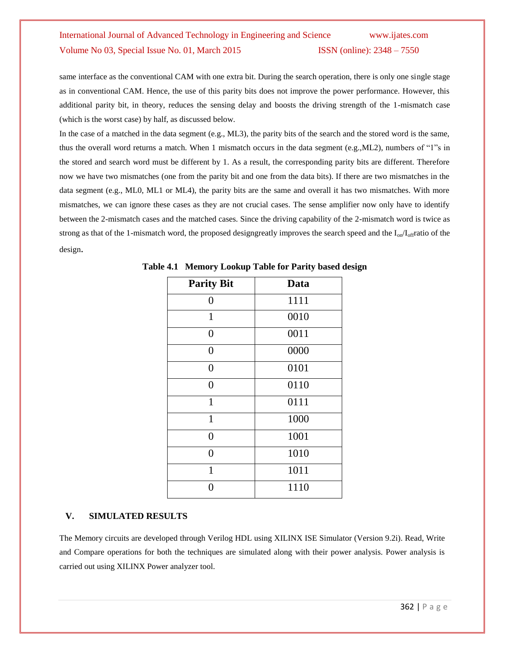same interface as the conventional CAM with one extra bit. During the search operation, there is only one single stage as in conventional CAM. Hence, the use of this parity bits does not improve the power performance. However, this additional parity bit, in theory, reduces the sensing delay and boosts the driving strength of the 1-mismatch case (which is the worst case) by half, as discussed below.

In the case of a matched in the data segment (e.g., ML3), the parity bits of the search and the stored word is the same, thus the overall word returns a match. When 1 mismatch occurs in the data segment (e.g.,ML2), numbers of "1"s in the stored and search word must be different by 1. As a result, the corresponding parity bits are different. Therefore now we have two mismatches (one from the parity bit and one from the data bits). If there are two mismatches in the data segment (e.g., ML0, ML1 or ML4), the parity bits are the same and overall it has two mismatches. With more mismatches, we can ignore these cases as they are not crucial cases. The sense amplifier now only have to identify between the 2-mismatch cases and the matched cases. Since the driving capability of the 2-mismatch word is twice as strong as that of the 1-mismatch word, the proposed designgreatly improves the search speed and the  $I_{on}/I_{off}$ ratio of the design.

| <b>Parity Bit</b> | Data |
|-------------------|------|
| $\overline{0}$    | 1111 |
| $\mathbf{1}$      | 0010 |
| $\Omega$          | 0011 |
| $\Omega$          | 0000 |
| 0                 | 0101 |
| 0                 | 0110 |
| $\mathbf{1}$      | 0111 |
| $\mathbf{1}$      | 1000 |
| $\theta$          | 1001 |
| 0                 | 1010 |
| $\mathbf{1}$      | 1011 |
|                   | 1110 |

**Table 4.1 Memory Lookup Table for Parity based design**

### **V. SIMULATED RESULTS**

The Memory circuits are developed through Verilog HDL using XILINX ISE Simulator (Version 9.2i). Read, Write and Compare operations for both the techniques are simulated along with their power analysis. Power analysis is carried out using XILINX Power analyzer tool.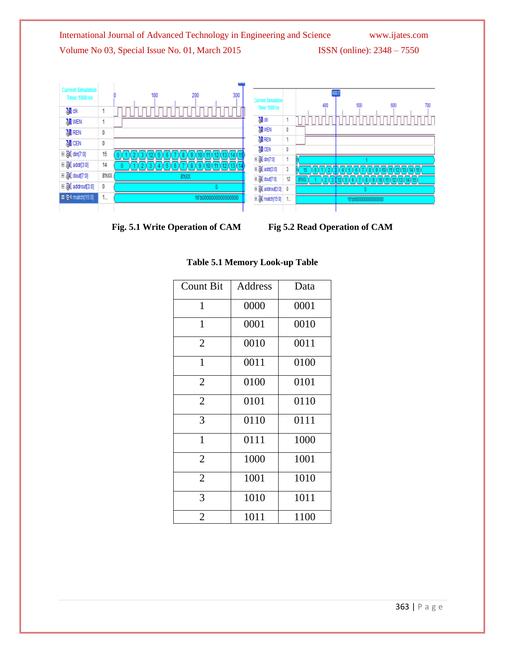

**Fig. 5.1 Write Operation of CAM Fig 5.2 Read Operation of CAM**

|  | <b>Table 5.1 Memory Look-up Table</b> |  |
|--|---------------------------------------|--|
|  |                                       |  |

| <b>Count Bit</b> | Address | Data |
|------------------|---------|------|
| 1                | 0000    | 0001 |
| 1                | 0001    | 0010 |
| $\overline{2}$   | 0010    | 0011 |
| 1                | 0011    | 0100 |
| $\overline{2}$   | 0100    | 0101 |
| $\overline{2}$   | 0101    | 0110 |
| 3                | 0110    | 0111 |
| $\mathbf{1}$     | 0111    | 1000 |
| $\overline{2}$   | 1000    | 1001 |
| $\overline{2}$   | 1001    | 1010 |
| 3                | 1010    | 1011 |
| 2                | 1011    | 1100 |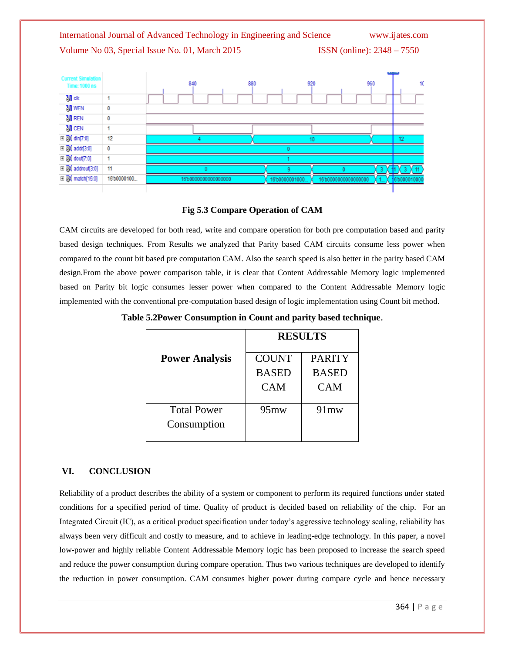

### **Fig 5.3 Compare Operation of CAM**

CAM circuits are developed for both read, write and compare operation for both pre computation based and parity based design techniques. From Results we analyzed that Parity based CAM circuits consume less power when compared to the count bit based pre computation CAM. Also the search speed is also better in the parity based CAM design.From the above power comparison table, it is clear that Content Addressable Memory logic implemented based on Parity bit logic consumes lesser power when compared to the Content Addressable Memory logic implemented with the conventional pre-computation based design of logic implementation using Count bit method.

|                       | <b>RESULTS</b> |               |  |
|-----------------------|----------------|---------------|--|
| <b>Power Analysis</b> | <b>COUNT</b>   | <b>PARITY</b> |  |
|                       | <b>BASED</b>   | <b>BASED</b>  |  |
|                       | <b>CAM</b>     | <b>CAM</b>    |  |
|                       |                |               |  |
| <b>Total Power</b>    | $95 \text{mw}$ | $91$ mw       |  |
| Consumption           |                |               |  |
|                       |                |               |  |

**Table 5.2Power Consumption in Count and parity based technique**.

### **VI. CONCLUSION**

Reliability of a product describes the ability of a system or component to perform its required functions under stated conditions for a specified period of time. Quality of product is decided based on reliability of the chip. For an Integrated Circuit (IC), as a critical product specification under today's aggressive technology scaling, reliability has always been very difficult and costly to measure, and to achieve in leading-edge technology. In this paper, a novel low-power and highly reliable Content Addressable Memory logic has been proposed to increase the search speed and reduce the power consumption during compare operation. Thus two various techniques are developed to identify the reduction in power consumption. CAM consumes higher power during compare cycle and hence necessary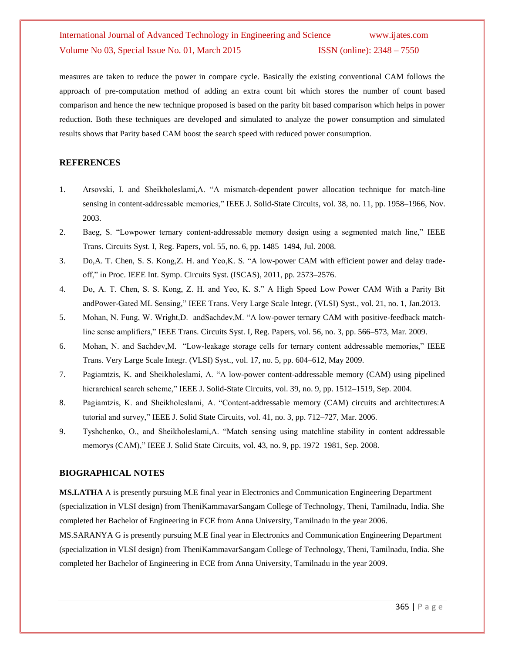measures are taken to reduce the power in compare cycle. Basically the existing conventional CAM follows the approach of pre-computation method of adding an extra count bit which stores the number of count based comparison and hence the new technique proposed is based on the parity bit based comparison which helps in power reduction. Both these techniques are developed and simulated to analyze the power consumption and simulated results shows that Parity based CAM boost the search speed with reduced power consumption.

### **REFERENCES**

- 1. Arsovski, I. and Sheikholeslami,A. "A mismatch-dependent power allocation technique for match-line sensing in content-addressable memories," IEEE J. Solid-State Circuits, vol. 38, no. 11, pp. 1958–1966, Nov. 2003.
- 2. Baeg, S. "Lowpower ternary content-addressable memory design using a segmented match line," IEEE Trans. Circuits Syst. I, Reg. Papers, vol. 55, no. 6, pp. 1485–1494, Jul. 2008.
- 3. Do,A. T. Chen, S. S. Kong,Z. H. and Yeo,K. S. "A low-power CAM with efficient power and delay tradeoff," in Proc. IEEE Int. Symp. Circuits Syst. (ISCAS), 2011, pp. 2573–2576.
- 4. Do, A. T. Chen, S. S. Kong, Z. H. and Yeo, K. S." A High Speed Low Power CAM With a Parity Bit andPower-Gated ML Sensing," IEEE Trans. Very Large Scale Integr. (VLSI) Syst., vol. 21, no. 1, Jan.2013.
- 5. Mohan, N. Fung, W. Wright,D. andSachdev,M. "A low-power ternary CAM with positive-feedback matchline sense amplifiers," IEEE Trans. Circuits Syst. I, Reg. Papers, vol. 56, no. 3, pp. 566–573, Mar. 2009.
- 6. Mohan, N. and Sachdev,M. "Low-leakage storage cells for ternary content addressable memories," IEEE Trans. Very Large Scale Integr. (VLSI) Syst., vol. 17, no. 5, pp. 604–612, May 2009.
- 7. Pagiamtzis, K. and Sheikholeslami, A. "A low-power content-addressable memory (CAM) using pipelined hierarchical search scheme," IEEE J. Solid-State Circuits, vol. 39, no. 9, pp. 1512–1519, Sep. 2004.
- 8. Pagiamtzis, K. and Sheikholeslami, A. "Content-addressable memory (CAM) circuits and architectures:A tutorial and survey," IEEE J. Solid State Circuits, vol. 41, no. 3, pp. 712–727, Mar. 2006.
- 9. Tyshchenko, O., and Sheikholeslami,A. "Match sensing using matchline stability in content addressable memorys (CAM)," IEEE J. Solid State Circuits, vol. 43, no. 9, pp. 1972–1981, Sep. 2008.

#### **BIOGRAPHICAL NOTES**

**MS.LATHA** A is presently pursuing M.E final year in Electronics and Communication Engineering Department (specialization in VLSI design) from TheniKammavarSangam College of Technology, Theni, Tamilnadu, India. She completed her Bachelor of Engineering in ECE from Anna University, Tamilnadu in the year 2006. MS.SARANYA G is presently pursuing M.E final year in Electronics and Communication Engineering Department (specialization in VLSI design) from TheniKammavarSangam College of Technology, Theni, Tamilnadu, India. She completed her Bachelor of Engineering in ECE from Anna University, Tamilnadu in the year 2009.